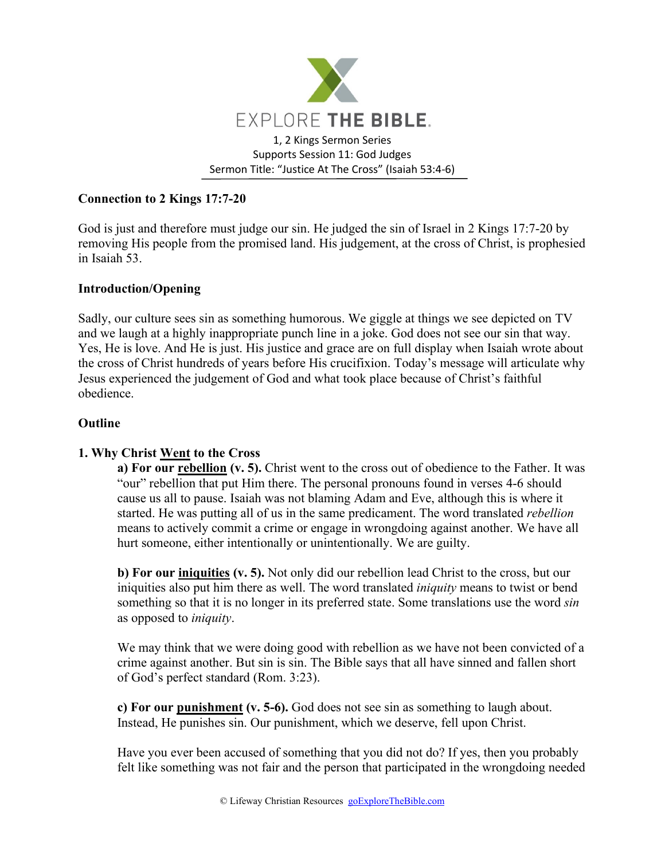

# **Connection to 2 Kings 17:7-20**

God is just and therefore must judge our sin. He judged the sin of Israel in 2 Kings 17:7-20 by removing His people from the promised land. His judgement, at the cross of Christ, is prophesied in Isaiah 53.

### **Introduction/Opening**

Sadly, our culture sees sin as something humorous. We giggle at things we see depicted on TV and we laugh at a highly inappropriate punch line in a joke. God does not see our sin that way. Yes, He is love. And He is just. His justice and grace are on full display when Isaiah wrote about the cross of Christ hundreds of years before His crucifixion. Today's message will articulate why Jesus experienced the judgement of God and what took place because of Christ's faithful obedience.

#### **Outline**

# **1. Why Christ Went to the Cross**

**a) For our rebellion (v. 5).** Christ went to the cross out of obedience to the Father. It was "our" rebellion that put Him there. The personal pronouns found in verses 4-6 should cause us all to pause. Isaiah was not blaming Adam and Eve, although this is where it started. He was putting all of us in the same predicament. The word translated *rebellion* means to actively commit a crime or engage in wrongdoing against another. We have all hurt someone, either intentionally or unintentionally. We are guilty.

**b) For our iniquities (v. 5).** Not only did our rebellion lead Christ to the cross, but our iniquities also put him there as well. The word translated *iniquity* means to twist or bend something so that it is no longer in its preferred state. Some translations use the word *sin* as opposed to *iniquity*.

We may think that we were doing good with rebellion as we have not been convicted of a crime against another. But sin is sin. The Bible says that all have sinned and fallen short of God's perfect standard (Rom. 3:23).

**c) For our punishment (v. 5-6).** God does not see sin as something to laugh about. Instead, He punishes sin. Our punishment, which we deserve, fell upon Christ.

Have you ever been accused of something that you did not do? If yes, then you probably felt like something was not fair and the person that participated in the wrongdoing needed